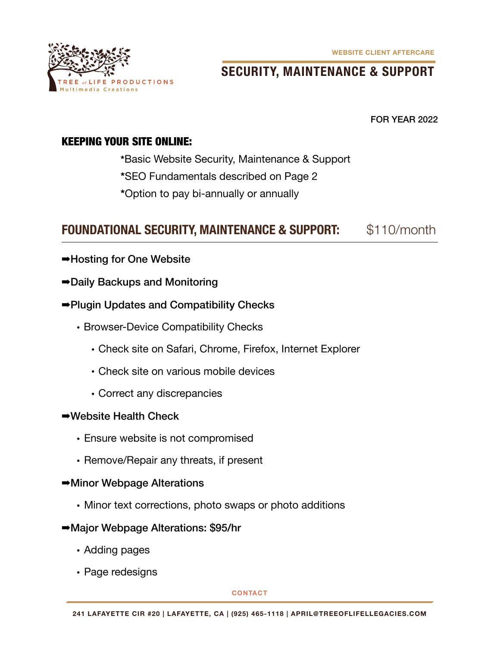**WEBSITE CLIENT AFTERCARE**



# **SECURITY, MAINTENANCE & SUPPORT**

FOR YEAR 2022

### KEEPING YOUR SITE ONLINE:

- **\***Basic Website Security, Maintenance & Support
- **\***SEO Fundamentals described on Page 2
- **\***Option to pay bi-annually or annually

# FOUNDATIONAL SECURITY, MAINTENANCE & SUPPORT: \$110/month

- ➡Hosting for One Website
- ➡Daily Backups and Monitoring
- ➡Plugin Updates and Compatibility Checks
	- Browser-Device Compatibility Checks
		- Check site on Safari, Chrome, Firefox, Internet Explorer
		- Check site on various mobile devices
		- Correct any discrepancies

#### ➡Website Health Check

- Ensure website is not compromised
- Remove/Repair any threats, if present
- ➡Minor Webpage Alterations
	- Minor text corrections, photo swaps or photo additions
- ➡Major Webpage Alterations: \$95/hr
	- Adding pages
	- Page redesigns

**CONTACT**